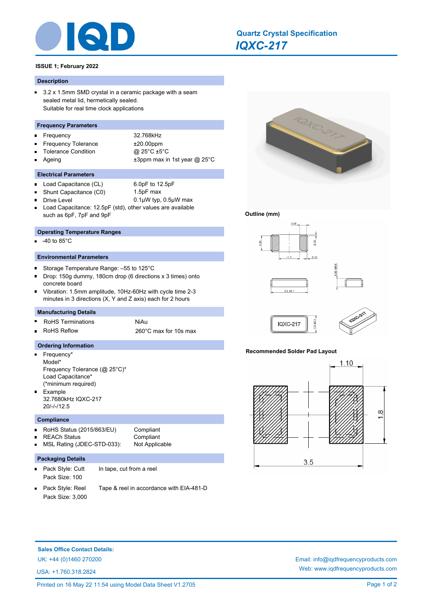

# *IQXC-217* **Quartz Crystal Specification**

# **ISSUE 1; February 2022**

# **Description**

 $\blacksquare$ 3.2 x 1.5mm SMD crystal in a ceramic package with a seam sealed metal lid, hermetically sealed. Suitable for real time clock applications

## **Frequency Parameters**

Frequency 32.768kHz  $\blacksquare$ 

 $\blacksquare$ ä.

- Frequency Tolerance  $\pm 20.00$ ppm  $\blacksquare$
- Tolerance Condition @ 25°C ±5°C  $\blacksquare$
- 
- $\blacksquare$
- Ageing  $\qquad \qquad \pm 3$ ppm max in 1st year @ 25°C
- **Electrical Parameters**
- Load Capacitance (CL) 6.0pF to 12.5pF  $\blacksquare$ 
	- Shunt Capacitance (C0) 1.5pF max
	- Drive Level 0.1µW typ, 0.5µW max
- Load Capacitance: 12.5pF (std), other values are available such as 6pF, 7pF and 9pF

## **Operating Temperature Ranges**

-40 to 85°C

# **Environmental Parameters**

- $\blacksquare$ Storage Temperature Range: –55 to 125°C
- Drop: 150g dummy, 180cm drop (6 directions x 3 times) onto concrete board
- Vibration: 1.5mm amplitude, 10Hz-60Hz with cycle time 2-3 minutes in 3 directions (X, Y and Z axis) each for 2 hours

## **Manufacturing Details**

RoHS Terminations MiAu Ē RoHS Reflow 260°C max for 10s max

#### **Ordering Information**

 $\blacksquare$ Frequency\* Model\* Frequency Tolerance (@ 25°C)\* Load Capacitance\* (\*minimum required) Example

32.7680kHz IQXC-217 20/-/-/12.5

#### **Compliance**

ä.

- RoHS Status (2015/863/EU) Compliant n.
	- REACh Status **Compliant**
	- MSL Rating (JDEC-STD-033): Not Applicable
		-
		-
- Pack Style: Cutt In tape, cut from a reel n. Pack Size: 100

**Packaging Details**

- 
- 
- Pack Style: Reel Tape & reel in accordance with EIA-481-D Pack Size: 3,000



# **Outline (mm)**





## **Recommended Solder Pad Layout**

**IQXC-217** 



**Sales Office Contact Details:**

USA: +1.760.318.2824

UK: +44 (0)1460 270200 Email: info@iqdfrequencyproducts.com Web: www.iqdfrequencyproducts.com